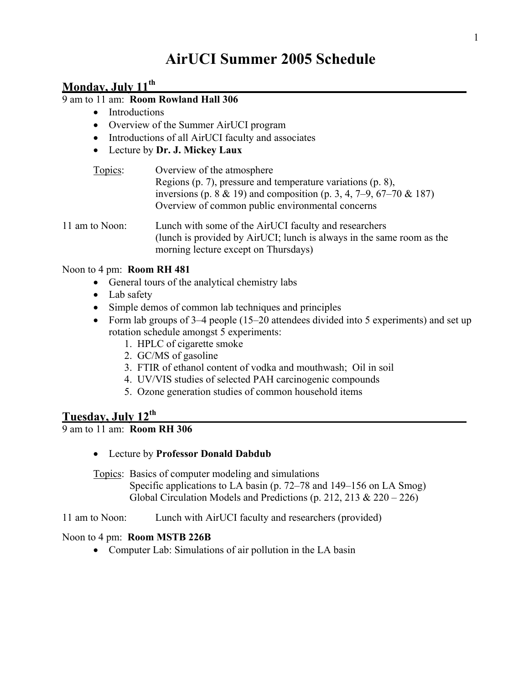# **AirUCI Summer 2005 Schedule**

# **Monday, July 11th**

### 9 am to 11 am: **Room Rowland Hall 306**

- Introductions
- Overview of the Summer AirUCI program
- Introductions of all AirUCI faculty and associates
- Lecture by **Dr. J. Mickey Laux**

| Topics: | Overview of the atmosphere                                         |
|---------|--------------------------------------------------------------------|
|         | Regions (p. 7), pressure and temperature variations (p. 8),        |
|         | inversions (p. 8 & 19) and composition (p. 3, 4, 7–9, 67–70 & 187) |
|         | Overview of common public environmental concerns                   |
|         |                                                                    |

11 am to Noon: Lunch with some of the AirUCI faculty and researchers (lunch is provided by AirUCI; lunch is always in the same room as the morning lecture except on Thursdays)

### Noon to 4 pm: **Room RH 481**

- General tours of the analytical chemistry labs
- Lab safety
- Simple demos of common lab techniques and principles
- Form lab groups of 3–4 people (15–20 attendees divided into 5 experiments) and set up rotation schedule amongst 5 experiments:
	- 1. HPLC of cigarette smoke
	- 2. GC/MS of gasoline
	- 3. FTIR of ethanol content of vodka and mouthwash; Oil in soil
	- 4. UV/VIS studies of selected PAH carcinogenic compounds
	- 5. Ozone generation studies of common household items

# **Tuesday, July 12th**

9 am to 11 am: **Room RH 306** 

• Lecture by **Professor Donald Dabdub**

Topics: Basics of computer modeling and simulations Specific applications to LA basin (p. 72–78 and 149–156 on LA Smog) Global Circulation Models and Predictions (p. 212, 213 & 220 – 226)

11 am to Noon: Lunch with AirUCI faculty and researchers (provided)

### Noon to 4 pm: **Room MSTB 226B**

• Computer Lab: Simulations of air pollution in the LA basin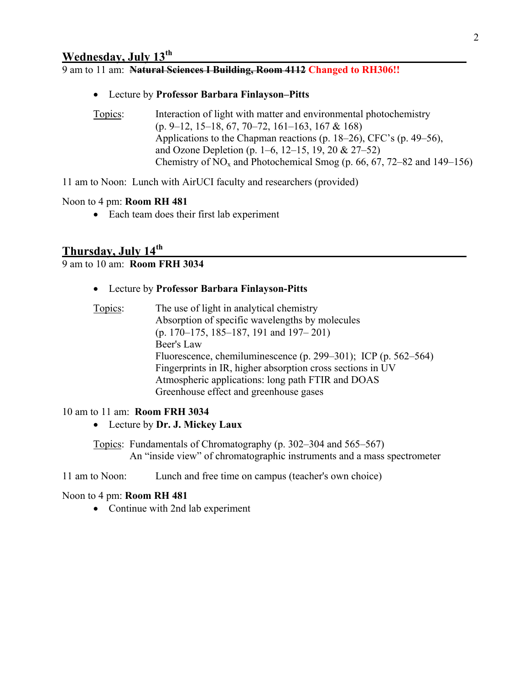9 am to 11 am: **Natural Sciences I Building, Room 4112 Changed to RH306!!** 

#### • Lecture by **Professor Barbara Finlayson–Pitts**

Topics: Interaction of light with matter and environmental photochemistry (p. 9–12, 15–18, 67, 70–72, 161–163, 167 & 168) Applications to the Chapman reactions (p. 18–26), CFC's (p. 49–56), and Ozone Depletion (p. 1–6, 12–15, 19, 20 & 27–52) Chemistry of  $NO<sub>x</sub>$  and Photochemical Smog (p. 66, 67, 72–82 and 149–156)

11 am to Noon: Lunch with AirUCI faculty and researchers (provided)

#### Noon to 4 pm: **Room RH 481**

• Each team does their first lab experiment

# **Thursday, July 14th**

# 9 am to 10 am: **Room FRH 3034**

#### • Lecture by **Professor Barbara Finlayson-Pitts**

| Topics: | The use of light in analytical chemistry                       |
|---------|----------------------------------------------------------------|
|         | Absorption of specific wavelengths by molecules                |
|         | (p. 170–175, 185–187, 191 and 197–201)                         |
|         | Beer's Law                                                     |
|         | Fluorescence, chemiluminescence (p. 299–301); ICP (p. 562–564) |
|         | Fingerprints in IR, higher absorption cross sections in UV     |
|         | Atmospheric applications: long path FTIR and DOAS              |
|         | Greenhouse effect and greenhouse gases                         |

#### 10 am to 11 am: **Room FRH 3034**

• Lecture by **Dr. J. Mickey Laux**

Topics: Fundamentals of Chromatography (p. 302–304 and 565–567) An "inside view" of chromatographic instruments and a mass spectrometer

11 am to Noon: Lunch and free time on campus (teacher's own choice)

#### Noon to 4 pm: **Room RH 481**

• Continue with 2nd lab experiment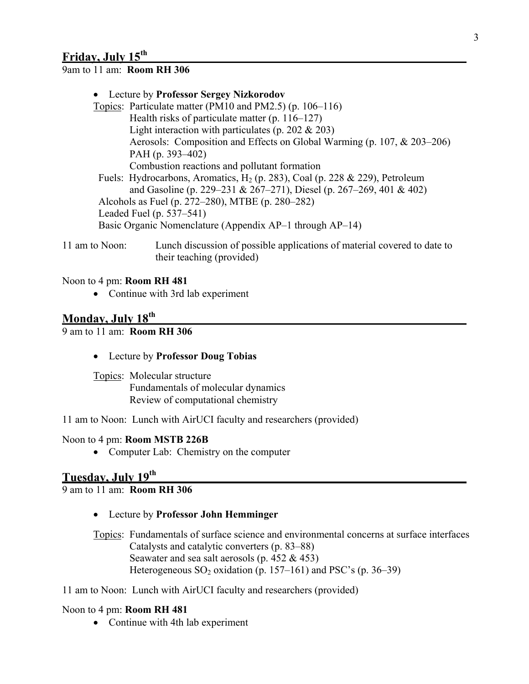### **Friday, July 15th**

#### 9am to 11 am: **Room RH 306**

### • Lecture by **Professor Sergey Nizkorodov** Topics: Particulate matter (PM10 and PM2.5) (p. 106–116) Health risks of particulate matter (p. 116–127) Light interaction with particulates (p. 202  $\&$  203) Aerosols: Composition and Effects on Global Warming (p. 107, & 203–206) PAH (p. 393–402) Combustion reactions and pollutant formation Fuels: Hydrocarbons, Aromatics, H<sub>2</sub> (p. 283), Coal (p. 228 & 229), Petroleum and Gasoline (p. 229–231 & 267–271), Diesel (p. 267–269, 401 & 402) Alcohols as Fuel (p. 272–280), MTBE (p. 280–282) Leaded Fuel (p. 537–541) Basic Organic Nomenclature (Appendix AP–1 through AP–14)

11 am to Noon: Lunch discussion of possible applications of material covered to date to their teaching (provided)

#### Noon to 4 pm: **Room RH 481**

• Continue with 3rd lab experiment

### **Monday, July 18th**

### 9 am to 11 am: **Room RH 306**

• Lecture by **Professor Doug Tobias**

Topics: Molecular structure Fundamentals of molecular dynamics Review of computational chemistry

11 am to Noon: Lunch with AirUCI faculty and researchers (provided)

#### Noon to 4 pm: **Room MSTB 226B**

• Computer Lab: Chemistry on the computer

# **Tuesday, July 19th**

### 9 am to 11 am: **Room RH 306**

• Lecture by **Professor John Hemminger**

Topics: Fundamentals of surface science and environmental concerns at surface interfaces Catalysts and catalytic converters (p. 83–88) Seawater and sea salt aerosols (p. 452 & 453) Heterogeneous  $SO_2$  oxidation (p. 157–161) and PSC's (p. 36–39)

11 am to Noon: Lunch with AirUCI faculty and researchers (provided)

#### Noon to 4 pm: **Room RH 481**

• Continue with 4th lab experiment